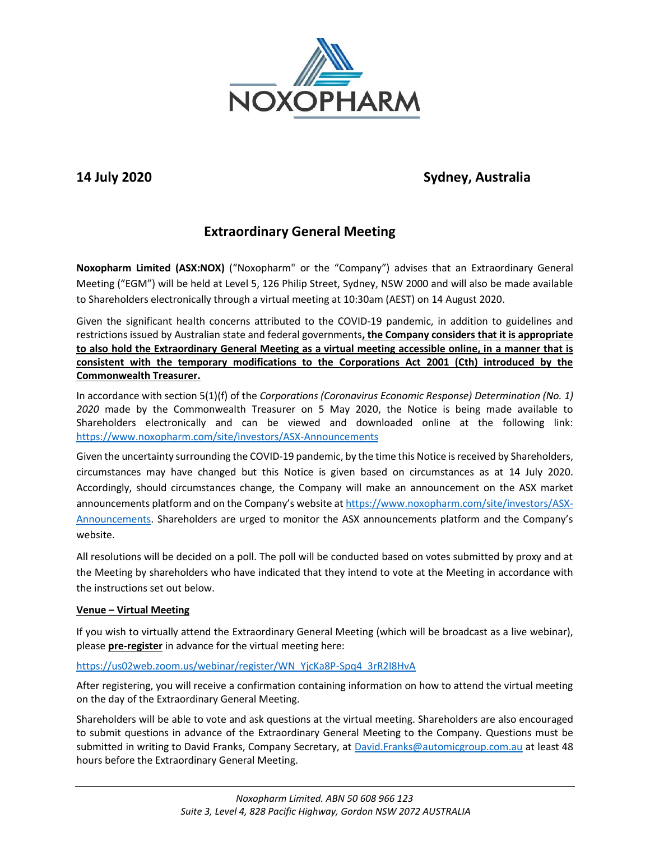

# **14 July 2020 Sydney, Australia**

# **Extraordinary General Meeting**

**Noxopharm Limited (ASX:NOX)** ("Noxopharm" or the "Company") advises that an Extraordinary General Meeting ("EGM") will be held at Level 5, 126 Philip Street, Sydney, NSW 2000 and will also be made available to Shareholders electronically through a virtual meeting at 10:30am (AEST) on 14 August 2020.

Given the significant health concerns attributed to the COVID-19 pandemic, in addition to guidelines and restrictions issued by Australian state and federal governments**, the Company considers that it is appropriate to also hold the Extraordinary General Meeting as a virtual meeting accessible online, in a manner that is consistent with the temporary modifications to the Corporations Act 2001 (Cth) introduced by the Commonwealth Treasurer.**

In accordance with section 5(1)(f) of the *Corporations (Coronavirus Economic Response) Determination (No. 1) 2020* made by the Commonwealth Treasurer on 5 May 2020, the Notice is being made available to Shareholders electronically and can be viewed and downloaded online at the following link: <https://www.noxopharm.com/site/investors/ASX-Announcements>

Given the uncertainty surrounding the COVID-19 pandemic, by the time this Notice is received by Shareholders, circumstances may have changed but this Notice is given based on circumstances as at 14 July 2020. Accordingly, should circumstances change, the Company will make an announcement on the ASX market announcements platform and on the Company's website at [https://www.noxopharm.com/site/investors/ASX-](https://www.noxopharm.com/site/investors/ASX-Announcements)[Announcements.](https://www.noxopharm.com/site/investors/ASX-Announcements) Shareholders are urged to monitor the ASX announcements platform and the Company's website.

All resolutions will be decided on a poll. The poll will be conducted based on votes submitted by proxy and at the Meeting by shareholders who have indicated that they intend to vote at the Meeting in accordance with the instructions set out below.

## **Venue – Virtual Meeting**

If you wish to virtually attend the Extraordinary General Meeting (which will be broadcast as a live webinar), please **pre-register** in advance for the virtual meeting here:

## [https://us02web.zoom.us/webinar/register/WN\\_YjcKa8P-Spq4\\_3rR2I8HvA](https://aus01.safelinks.protection.outlook.com/?url=https%3A%2F%2Fus02web.zoom.us%2Fwebinar%2Fregister%2FWN_YjcKa8P-Spq4_3rR2I8HvA&data=02%7C01%7C%7C54383f2917db4ec3440408d826c1be49%7C7e4a842150524163990092bf44244322%7C0%7C0%7C637301960883135425&sdata=8Al2YzbH5Zherii63IPHSSUNfUb9JQJpkeLruZ3%2FFnE%3D&reserved=0)

After registering, you will receive a confirmation containing information on how to attend the virtual meeting on the day of the Extraordinary General Meeting.

Shareholders will be able to vote and ask questions at the virtual meeting. Shareholders are also encouraged to submit questions in advance of the Extraordinary General Meeting to the Company. Questions must be submitted in writing to David Franks, Company Secretary, at [David.Franks@automicgroup.com.au](mailto:David.Franks@automicgroup.com.au) at least 48 hours before the Extraordinary General Meeting.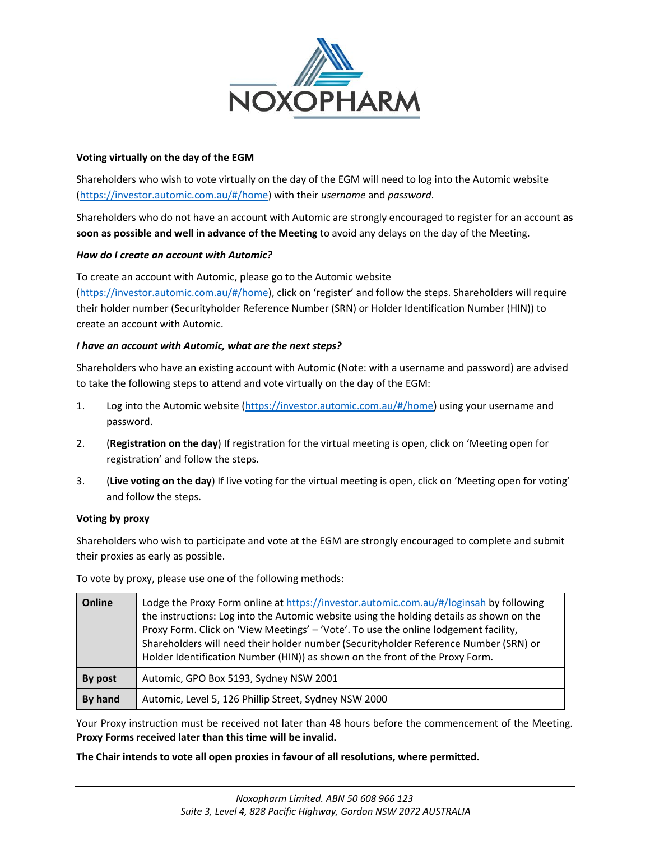

### **Voting virtually on the day of the EGM**

Shareholders who wish to vote virtually on the day of the EGM will need to log into the Automic website [\(https://investor.automic.com.au/#/home\)](https://investor.automic.com.au/#/home) with their *username* and *password*.

Shareholders who do not have an account with Automic are strongly encouraged to register for an account **as soon as possible and well in advance of the Meeting** to avoid any delays on the day of the Meeting.

#### *How do I create an account with Automic?*

To create an account with Automic, please go to the Automic website

[\(https://investor.automic.com.au/#/home](https://investor.automic.com.au/#/home)), click on 'register' and follow the steps. Shareholders will require their holder number (Securityholder Reference Number (SRN) or Holder Identification Number (HIN)) to create an account with Automic.

#### *I have an account with Automic, what are the next steps?*

Shareholders who have an existing account with Automic (Note: with a username and password) are advised to take the following steps to attend and vote virtually on the day of the EGM:

- 1. Log into the Automic website [\(https://investor.automic.com.au/#/home\)](https://investor.automic.com.au/#/home) using your username and password.
- 2. (**Registration on the day**) If registration for the virtual meeting is open, click on 'Meeting open for registration' and follow the steps.
- 3. (**Live voting on the day**) If live voting for the virtual meeting is open, click on 'Meeting open for voting' and follow the steps.

#### **Voting by proxy**

Shareholders who wish to participate and vote at the EGM are strongly encouraged to complete and submit their proxies as early as possible.

| Online  | Lodge the Proxy Form online at https://investor.automic.com.au/#/loginsah by following<br>the instructions: Log into the Automic website using the holding details as shown on the<br>Proxy Form. Click on 'View Meetings' - 'Vote'. To use the online lodgement facility,<br>Shareholders will need their holder number (Securityholder Reference Number (SRN) or<br>Holder Identification Number (HIN)) as shown on the front of the Proxy Form. |
|---------|----------------------------------------------------------------------------------------------------------------------------------------------------------------------------------------------------------------------------------------------------------------------------------------------------------------------------------------------------------------------------------------------------------------------------------------------------|
| By post | Automic, GPO Box 5193, Sydney NSW 2001                                                                                                                                                                                                                                                                                                                                                                                                             |
| By hand | Automic, Level 5, 126 Phillip Street, Sydney NSW 2000                                                                                                                                                                                                                                                                                                                                                                                              |

To vote by proxy, please use one of the following methods:

Your Proxy instruction must be received not later than 48 hours before the commencement of the Meeting. **Proxy Forms received later than this time will be invalid.**

**The Chair intends to vote all open proxies in favour of all resolutions, where permitted.**